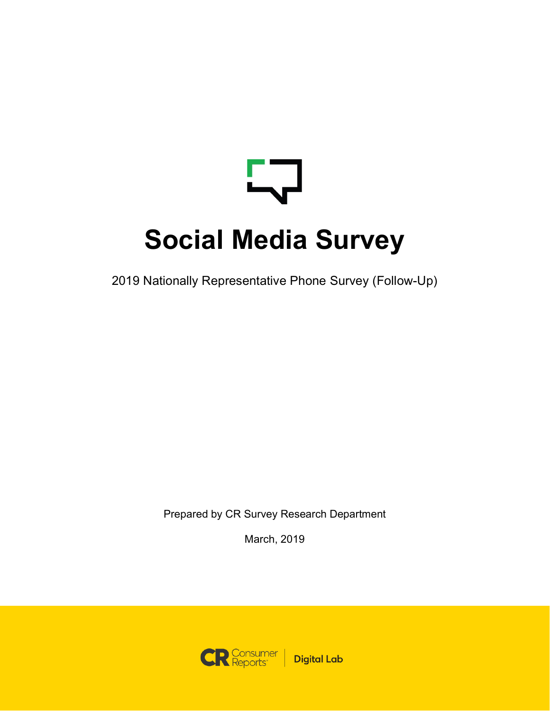# ┶╍ **Social Media Survey**

2019 Nationally Representative Phone Survey (Follow-Up)

Prepared by CR Survey Research Department

March, 2019

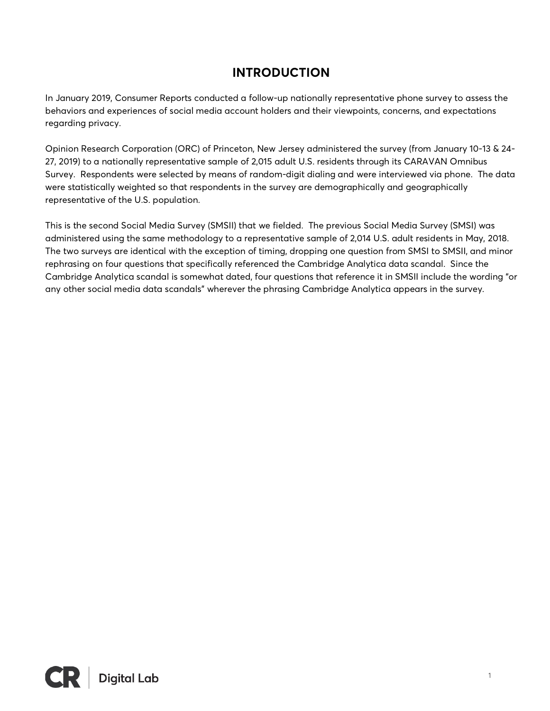# **INTRODUCTION**

In January 2019, Consumer Reports conducted a follow-up nationally representative phone survey to assess the behaviors and experiences of social media account holders and their viewpoints, concerns, and expectations regarding privacy.

Opinion Research Corporation (ORC) of Princeton, New Jersey administered the survey (from January 10-13 & 24- 27, 2019) to a nationally representative sample of 2,015 adult U.S. residents through its CARAVAN Omnibus Survey. Respondents were selected by means of random-digit dialing and were interviewed via phone. The data were statistically weighted so that respondents in the survey are demographically and geographically representative of the U.S. population.

This is the second Social Media Survey (SMSII) that we fielded. The previous Social Media Survey (SMSI) was administered using the same methodology to a representative sample of 2,014 U.S. adult residents in May, 2018. The two surveys are identical with the exception of timing, dropping one question from SMSI to SMSII, and minor rephrasing on four questions that specifically referenced the Cambridge Analytica data scandal. Since the Cambridge Analytica scandal is somewhat dated, four questions that reference it in SMSII include the wording "or any other social media data scandals" wherever the phrasing Cambridge Analytica appears in the survey.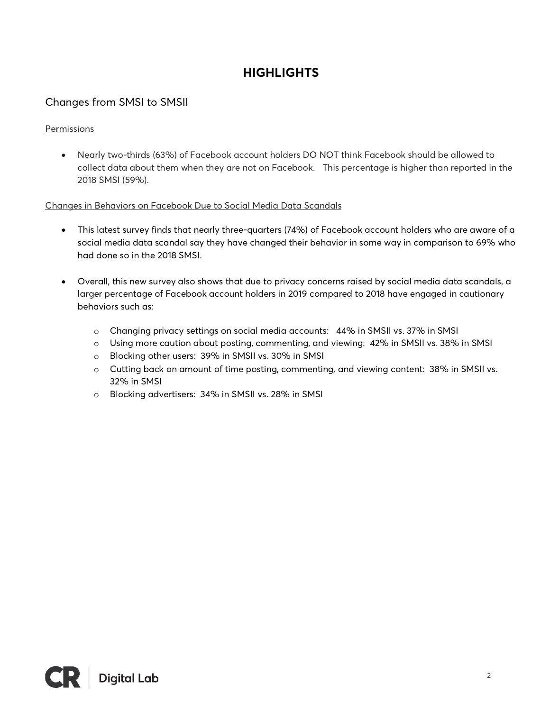# **HIGHLIGHTS**

# Changes from SMSI to SMSII

#### Permissions

• Nearly two-thirds (63%) of Facebook account holders DO NOT think Facebook should be allowed to collect data about them when they are not on Facebook. This percentage is higher than reported in the 2018 SMSI (59%).

#### Changes in Behaviors on Facebook Due to Social Media Data Scandals

- This latest survey finds that nearly three-quarters (74%) of Facebook account holders who are aware of a social media data scandal say they have changed their behavior in some way in comparison to 69% who had done so in the 2018 SMSI.
- Overall, this new survey also shows that due to privacy concerns raised by social media data scandals, a larger percentage of Facebook account holders in 2019 compared to 2018 have engaged in cautionary behaviors such as:
	- o Changing privacy settings on social media accounts: 44% in SMSII vs. 37% in SMSI
	- o Using more caution about posting, commenting, and viewing: 42% in SMSII vs. 38% in SMSI
	- o Blocking other users: 39% in SMSII vs. 30% in SMSI
	- o Cutting back on amount of time posting, commenting, and viewing content: 38% in SMSII vs. 32% in SMSI
	- o Blocking advertisers: 34% in SMSII vs. 28% in SMSI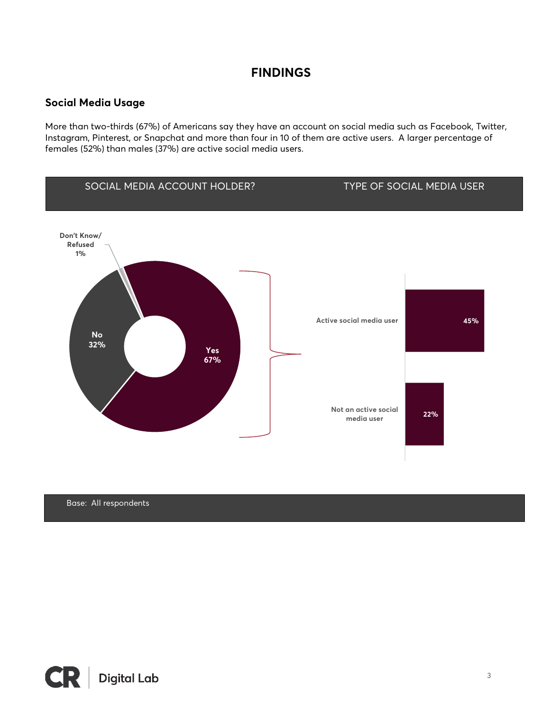# **FINDINGS**

#### **Social Media Usage**

More than two-thirds (67%) of Americans say they have an account on social media such as Facebook, Twitter, Instagram, Pinterest, or Snapchat and more than four in 10 of them are active users. A larger percentage of females (52%) than males (37%) are active social media users.



Base: All respondents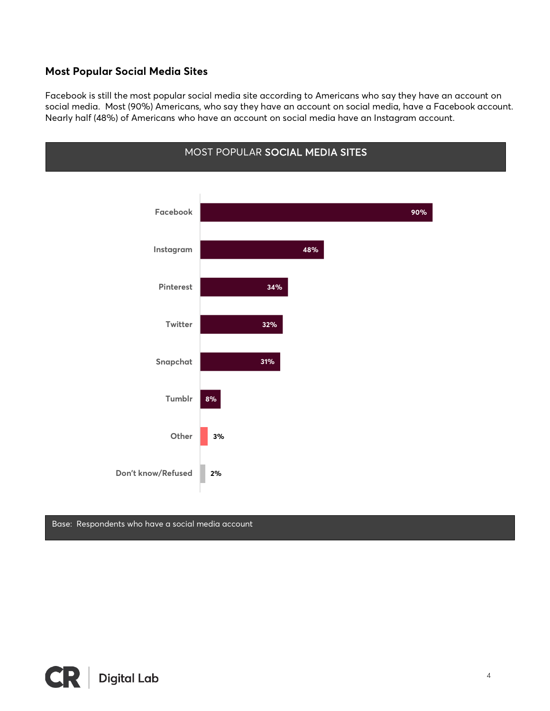#### **Most Popular Social Media Sites**

Facebook is still the most popular social media site according to Americans who say they have an account on social media. Most (90%) Americans, who say they have an account on social media, have a Facebook account. Nearly half (48%) of Americans who have an account on social media have an Instagram account.



#### Base: Respondents who have a social media account

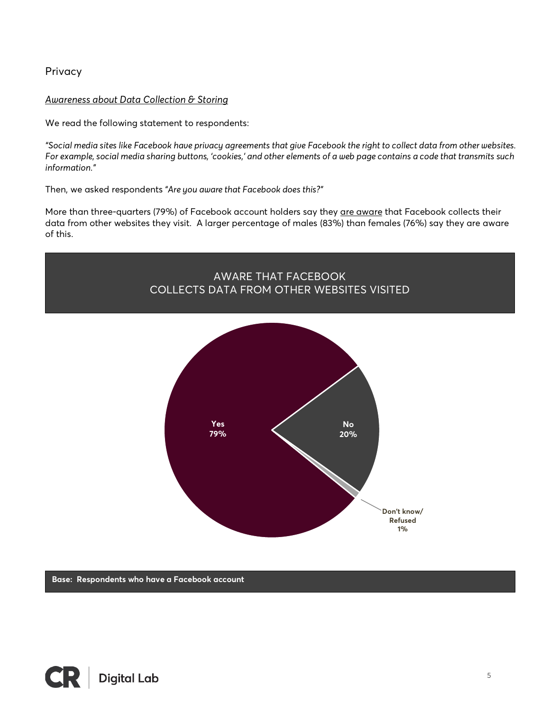Privacy

#### *Awareness about Data Collection & Storing*

We read the following statement to respondents:

*"Social media sites like Facebook have privacy agreements that give Facebook the right to collect data from other websites. For example, social media sharing buttons, 'cookies,' and other elements of a web page contains a code that transmits such information."*

Then, we asked respondents *"Are you aware that Facebook does this?"*

More than three-quarters (79%) of Facebook account holders say they are aware that Facebook collects their data from other websites they visit. A larger percentage of males (83%) than females (76%) say they are aware of this.



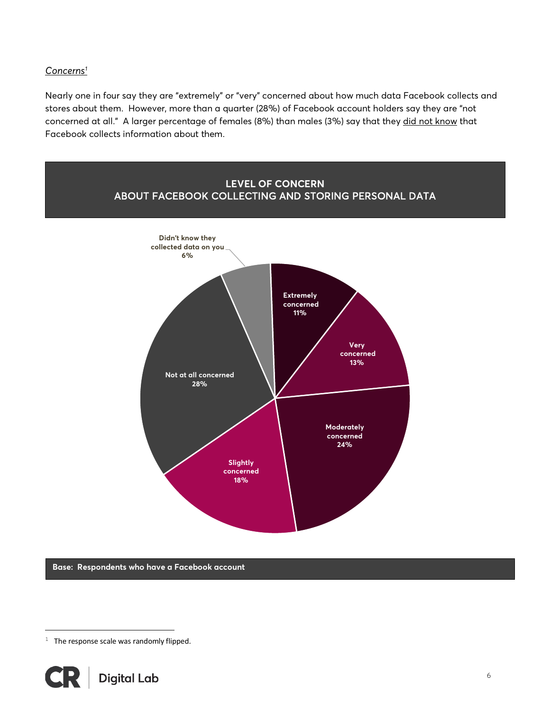#### *Concerns1*

Nearly one in four say they are "extremely" or "very" concerned about how much data Facebook collects and stores about them. However, more than a quarter (28%) of Facebook account holders say they are "not concerned at all." A larger percentage of females (8%) than males (3%) say that they did not know that Facebook collects information about them.



**Base: Respondents who have a Facebook account**

 $1$  The response scale was randomly flipped.



i<br>Li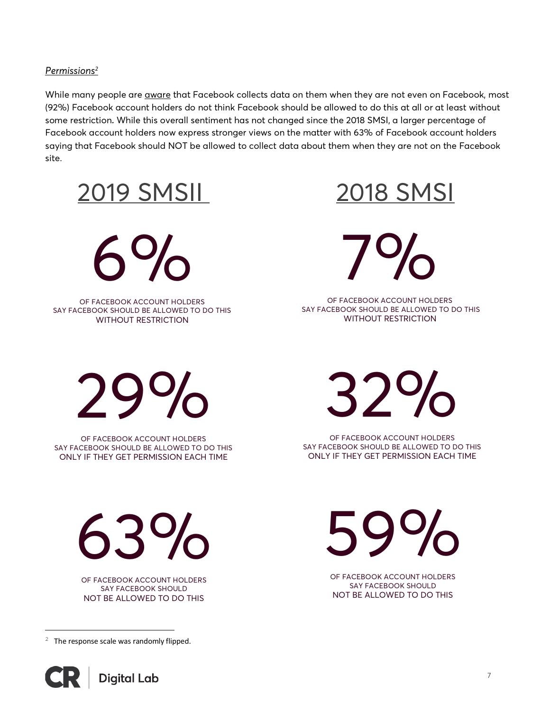#### *Permissions2*

While many people are aware that Facebook collects data on them when they are not even on Facebook, most (92%) Facebook account holders do not think Facebook should be allowed to do this at all or at least without some restriction. While this overall sentiment has not changed since the 2018 SMSI, a larger percentage of Facebook account holders now express stronger views on the matter with 63% of Facebook account holders saying that Facebook should NOT be allowed to collect data about them when they are not on the Facebook site.

2019 SMSIL 2018 SMSI

 $6%$ 

OF FACEBOOK ACCOUNT HOLDERS SAY FACEBOOK SHOULD BE ALLOWED TO DO THIS WITHOUT RESTRICTION



7%

OF FACEBOOK ACCOUNT HOLDERS SAY FACEBOOK SHOULD BE ALLOWED TO DO THIS WITHOUT RESTRICTION

29 %

OF FACEBOOK ACCOUNT HOLDERS SAY FACEBOOK SHOULD BE ALLOWED TO DO THIS ONLY IF THEY GET PERMISSION EACH TIME

32 %

OF FACEBOOK ACCOUNT HOLDERS SAY FACEBOOK SHOULD BE ALLOWED TO DO THIS ONLY IF THEY GET PERMISSION EACH TIME

OF FACEBOOK ACCOUNT HOLDERS

SAY FACEBOOK SHOULD NOT BE ALLOWED TO DO THIS

%

59

63 %

OF FACEBOOK ACCOUNT HOLDERS SAY FACEBOOK SHOULD NOT BE ALLOWED TO DO THIS

 $2$  The response scale was randomly flipped.



i<br>Li

7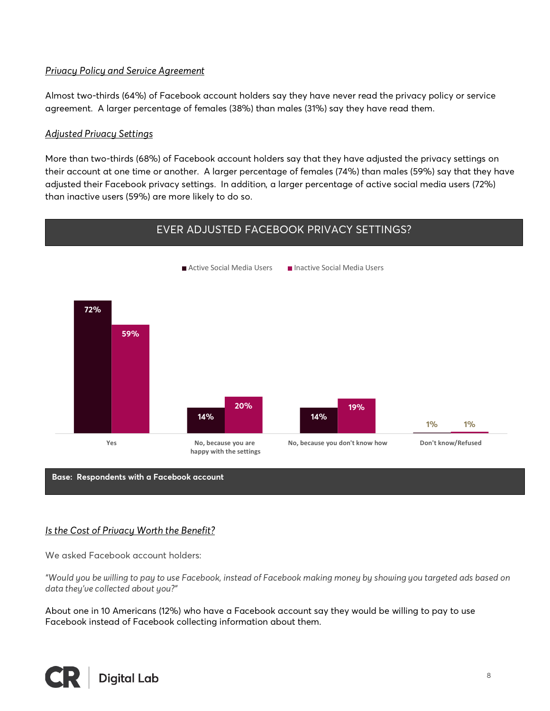#### *Privacy Policy and Service Agreement*

Almost two-thirds (64%) of Facebook account holders say they have never read the privacy policy or service agreement. A larger percentage of females (38%) than males (31%) say they have read them.

#### *Adjusted Privacy Settings*

More than two-thirds (68%) of Facebook account holders say that they have adjusted the privacy settings on their account at one time or another. A larger percentage of females (74%) than males (59%) say that they have adjusted their Facebook privacy settings. In addition, a larger percentage of active social media users (72%) than inactive users (59%) are more likely to do so.



**Base: Respondents with a Facebook account**

#### *Is the Cost of Privacy Worth the Benefit?*

We asked Facebook account holders:

*"Would you be willing to pay to use Facebook, instead of Facebook making money by showing you targeted ads based on data they've collected about you?"*

About one in 10 Americans (12%) who have a Facebook account say they would be willing to pay to use Facebook instead of Facebook collecting information about them.

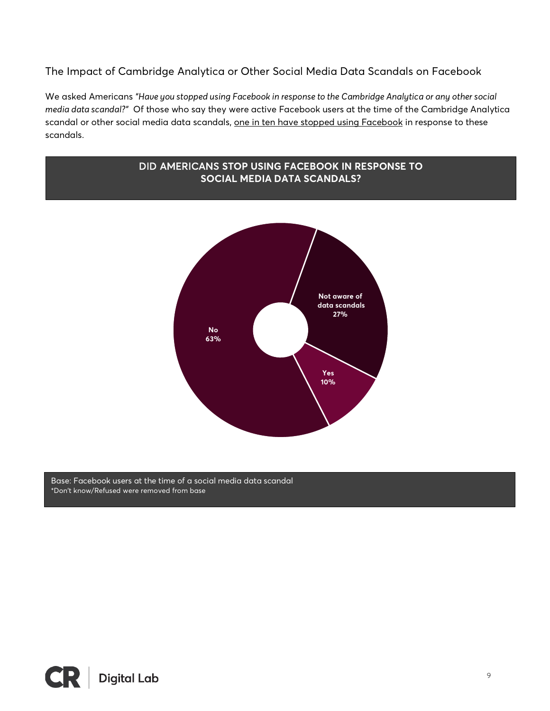The Impact of Cambridge Analytica or Other Social Media Data Scandals on Facebook

We asked Americans *"Have you stopped using Facebook in response to the Cambridge Analytica or any other social media data scandal?"* Of those who say they were active Facebook users at the time of the Cambridge Analytica scandal or other social media data scandals, one in ten have stopped using Facebook in response to these scandals.



Base: Facebook users at the time of a social media data scandal \*Don't know/Refused were removed from base

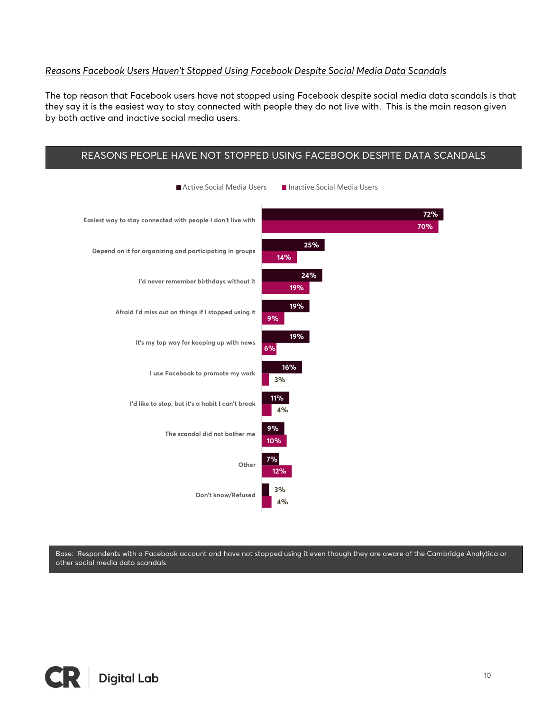#### *Reasons Facebook Users Haven't Stopped Using Facebook Despite Social Media Data Scandals*

The top reason that Facebook users have not stopped using Facebook despite social media data scandals is that they say it is the easiest way to stay connected with people they do not live with. This is the main reason given by both active and inactive social media users.



Base: Respondents with a Facebook account and have not stopped using it even though they are aware of the Cambridge Analytica or other social media data scandals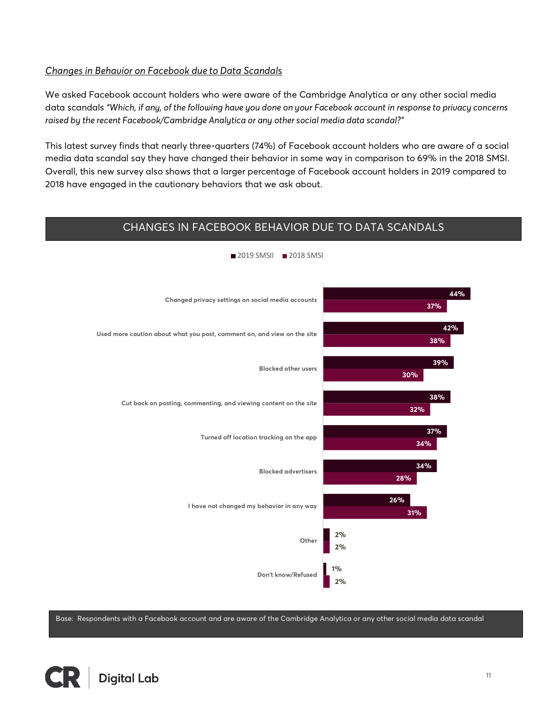#### *Changes in Behavior on Facebook due to Data Scandals*

We asked Facebook account holders who were aware of the Cambridge Analytica or any other social media data scandals *"Which, if any, of the following have you done on your Facebook account in response to privacy concerns raised by the recent Facebook/Cambridge Analytica or any other social media data scandal?"*

This latest survey finds that nearly three-quarters (74%) of Facebook account holders who are aware of a social media data scandal say they have changed their behavior in some way in comparison to 69% in the 2018 SMSI. Overall, this new survey also shows that a larger percentage of Facebook account holders in 2019 compared to 2018 have engaged in the cautionary behaviors that we ask about.

#### CHANGES IN FACEBOOK BEHAVIOR DUE TO DATA SCANDALS



2019 SMSII 2018 SMSI

Base: Respondents with a Facebook account and are aware of the Cambridge Analytica or any other social media data scandal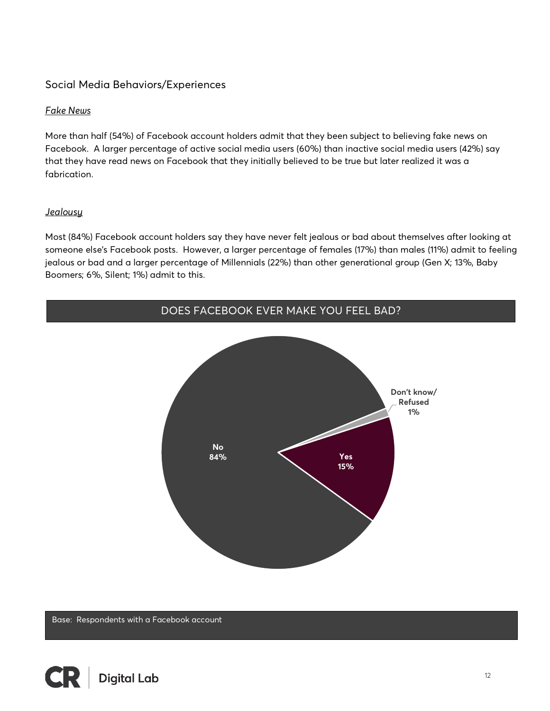#### Social Media Behaviors/Experiences

#### *Fake News*

More than half (54%) of Facebook account holders admit that they been subject to believing fake news on Facebook. A larger percentage of active social media users (60%) than inactive social media users (42%) say that they have read news on Facebook that they initially believed to be true but later realized it was a fabrication.

#### *Jealousy*

Most (84%) Facebook account holders say they have never felt jealous or bad about themselves after looking at someone else's Facebook posts. However, a larger percentage of females (17%) than males (11%) admit to feeling jealous or bad and a larger percentage of Millennials (22%) than other generational group (Gen X; 13%, Baby Boomers; 6%, Silent; 1%) admit to this.



Base: Respondents with a Facebook account

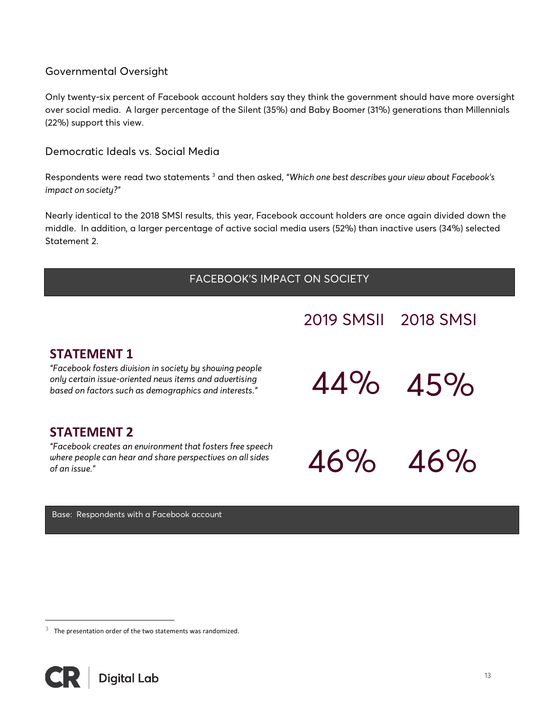#### Governmental Oversight

Only twenty-six percent of Facebook account holders say they think the government should have more oversight over social media. A larger percentage of the Silent (35%) and Baby Boomer (31%) generations than Millennials (22%) support this view.

Democratic Ideals vs. Social Media

Respondents were read two statements 3 and then asked, "*Which one best describes your view about Facebook's impact on society?"*

Nearly identical to the 2018 SMSI results, this year, Facebook account holders are once again divided down the middle. In addition, a larger percentage of active social media users (52%) than inactive users (34%) selected Statement 2.

# FACEBOOK'S IMPACT ON SOCIETY

# 2019 SMSII 2018 SMSI

# **STATEMENT 1**

*"Facebook fosters division in society by showing people only certain issue-oriented news items and advertising*<br>
based on factors such as demographics and interests."

# **STATEMENT 2**

*"Facebook creates an environment that fosters free speech where people can hear and share perspectives on all sides*  $\overline{46\%}$ 

44% 45%

46% 46%

 $\overline{ }$ 

Base: Respondents with a Facebook account

 $3$  The presentation order of the two statements was randomized.



i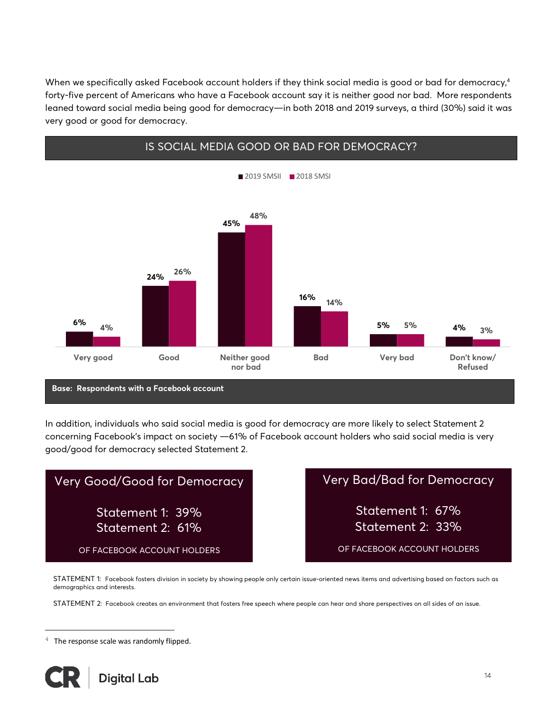When we specifically asked Facebook account holders if they think social media is good or bad for democracy, 4 forty-five percent of Americans who have a Facebook account say it is neither good nor bad. More respondents leaned toward social media being good for democracy—in both 2018 and 2019 surveys, a third (30%) said it was very good or good for democracy.



In addition, individuals who said social media is good for democracy are more likely to select Statement 2 concerning Facebook's impact on society —61% of Facebook account holders who said social media is very good/good for democracy selected Statement 2.

| Very Good/Good for Democracy         | <b>Very Bad/Bad for Democracy</b>    |
|--------------------------------------|--------------------------------------|
| Statement 1: 39%<br>Statement 2: 61% | Statement 1: 67%<br>Statement 2: 33% |
| OF FACEBOOK ACCOUNT HOLDERS          | OF FACEBOOK ACCOUNT HOLDERS          |

STATEMENT 1: Facebook fosters division in society by showing people only certain issue-oriented news items and advertising based on factors such as demographics and interests.

STATEMENT 2: Facebook creates an environment that fosters free speech where people can hear and share perspectives on all sides of an issue.

 $4$  The response scale was randomly flipped.



i<br>Li